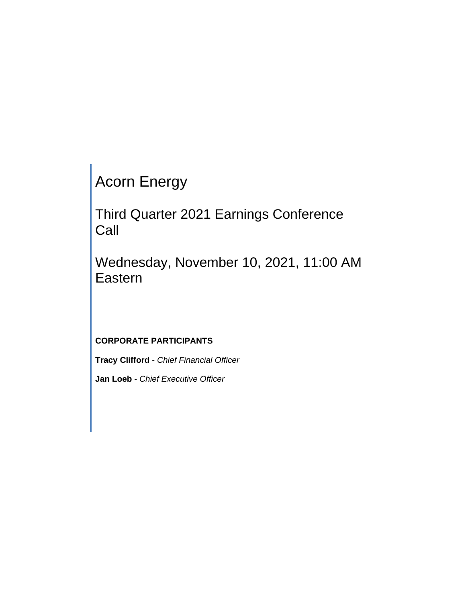Acorn Energy

Third Quarter 2021 Earnings Conference Call

Wednesday, November 10, 2021, 11:00 AM Eastern

# **CORPORATE PARTICIPANTS**

**Tracy Clifford** - *Chief Financial Officer*

**Jan Loeb** - *Chief Executive Officer*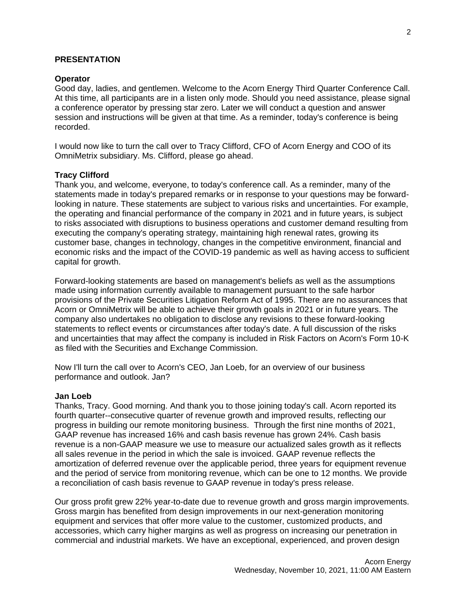#### **PRESENTATION**

#### **Operator**

Good day, ladies, and gentlemen. Welcome to the Acorn Energy Third Quarter Conference Call. At this time, all participants are in a listen only mode. Should you need assistance, please signal a conference operator by pressing star zero. Later we will conduct a question and answer session and instructions will be given at that time. As a reminder, today's conference is being recorded.

I would now like to turn the call over to Tracy Clifford, CFO of Acorn Energy and COO of its OmniMetrix subsidiary. Ms. Clifford, please go ahead.

#### **Tracy Clifford**

Thank you, and welcome, everyone, to today's conference call. As a reminder, many of the statements made in today's prepared remarks or in response to your questions may be forwardlooking in nature. These statements are subject to various risks and uncertainties. For example, the operating and financial performance of the company in 2021 and in future years, is subject to risks associated with disruptions to business operations and customer demand resulting from executing the company's operating strategy, maintaining high renewal rates, growing its customer base, changes in technology, changes in the competitive environment, financial and economic risks and the impact of the COVID-19 pandemic as well as having access to sufficient capital for growth.

Forward-looking statements are based on management's beliefs as well as the assumptions made using information currently available to management pursuant to the safe harbor provisions of the Private Securities Litigation Reform Act of 1995. There are no assurances that Acorn or OmniMetrix will be able to achieve their growth goals in 2021 or in future years. The company also undertakes no obligation to disclose any revisions to these forward-looking statements to reflect events or circumstances after today's date. A full discussion of the risks and uncertainties that may affect the company is included in Risk Factors on Acorn's Form 10-K as filed with the Securities and Exchange Commission.

Now I'll turn the call over to Acorn's CEO, Jan Loeb, for an overview of our business performance and outlook. Jan?

#### **Jan Loeb**

Thanks, Tracy. Good morning. And thank you to those joining today's call. Acorn reported its fourth quarter--consecutive quarter of revenue growth and improved results, reflecting our progress in building our remote monitoring business. Through the first nine months of 2021, GAAP revenue has increased 16% and cash basis revenue has grown 24%. Cash basis revenue is a non-GAAP measure we use to measure our actualized sales growth as it reflects all sales revenue in the period in which the sale is invoiced. GAAP revenue reflects the amortization of deferred revenue over the applicable period, three years for equipment revenue and the period of service from monitoring revenue, which can be one to 12 months. We provide a reconciliation of cash basis revenue to GAAP revenue in today's press release.

Our gross profit grew 22% year-to-date due to revenue growth and gross margin improvements. Gross margin has benefited from design improvements in our next-generation monitoring equipment and services that offer more value to the customer, customized products, and accessories, which carry higher margins as well as progress on increasing our penetration in commercial and industrial markets. We have an exceptional, experienced, and proven design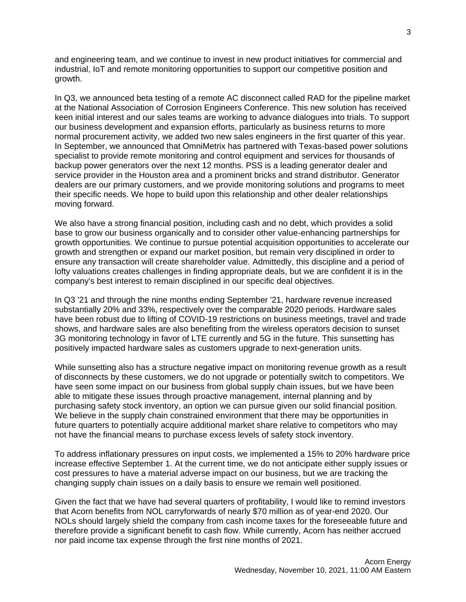and engineering team, and we continue to invest in new product initiatives for commercial and industrial, IoT and remote monitoring opportunities to support our competitive position and growth.

In Q3, we announced beta testing of a remote AC disconnect called RAD for the pipeline market at the National Association of Corrosion Engineers Conference. This new solution has received keen initial interest and our sales teams are working to advance dialogues into trials. To support our business development and expansion efforts, particularly as business returns to more normal procurement activity, we added two new sales engineers in the first quarter of this year. In September, we announced that OmniMetrix has partnered with Texas-based power solutions specialist to provide remote monitoring and control equipment and services for thousands of backup power generators over the next 12 months. PSS is a leading generator dealer and service provider in the Houston area and a prominent bricks and strand distributor. Generator dealers are our primary customers, and we provide monitoring solutions and programs to meet their specific needs. We hope to build upon this relationship and other dealer relationships moving forward.

We also have a strong financial position, including cash and no debt, which provides a solid base to grow our business organically and to consider other value-enhancing partnerships for growth opportunities. We continue to pursue potential acquisition opportunities to accelerate our growth and strengthen or expand our market position, but remain very disciplined in order to ensure any transaction will create shareholder value. Admittedly, this discipline and a period of lofty valuations creates challenges in finding appropriate deals, but we are confident it is in the company's best interest to remain disciplined in our specific deal objectives.

In Q3 '21 and through the nine months ending September '21, hardware revenue increased substantially 20% and 33%, respectively over the comparable 2020 periods. Hardware sales have been robust due to lifting of COVID-19 restrictions on business meetings, travel and trade shows, and hardware sales are also benefiting from the wireless operators decision to sunset 3G monitoring technology in favor of LTE currently and 5G in the future. This sunsetting has positively impacted hardware sales as customers upgrade to next-generation units.

While sunsetting also has a structure negative impact on monitoring revenue growth as a result of disconnects by these customers, we do not upgrade or potentially switch to competitors. We have seen some impact on our business from global supply chain issues, but we have been able to mitigate these issues through proactive management, internal planning and by purchasing safety stock inventory, an option we can pursue given our solid financial position. We believe in the supply chain constrained environment that there may be opportunities in future quarters to potentially acquire additional market share relative to competitors who may not have the financial means to purchase excess levels of safety stock inventory.

To address inflationary pressures on input costs, we implemented a 15% to 20% hardware price increase effective September 1. At the current time, we do not anticipate either supply issues or cost pressures to have a material adverse impact on our business, but we are tracking the changing supply chain issues on a daily basis to ensure we remain well positioned.

Given the fact that we have had several quarters of profitability, I would like to remind investors that Acorn benefits from NOL carryforwards of nearly \$70 million as of year-end 2020. Our NOLs should largely shield the company from cash income taxes for the foreseeable future and therefore provide a significant benefit to cash flow. While currently, Acorn has neither accrued nor paid income tax expense through the first nine months of 2021.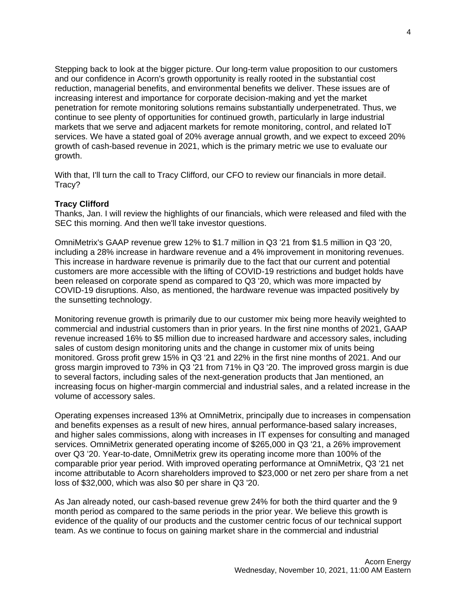Stepping back to look at the bigger picture. Our long-term value proposition to our customers and our confidence in Acorn's growth opportunity is really rooted in the substantial cost reduction, managerial benefits, and environmental benefits we deliver. These issues are of increasing interest and importance for corporate decision-making and yet the market penetration for remote monitoring solutions remains substantially underpenetrated. Thus, we continue to see plenty of opportunities for continued growth, particularly in large industrial markets that we serve and adjacent markets for remote monitoring, control, and related IoT services. We have a stated goal of 20% average annual growth, and we expect to exceed 20% growth of cash-based revenue in 2021, which is the primary metric we use to evaluate our growth.

With that, I'll turn the call to Tracy Clifford, our CFO to review our financials in more detail. Tracy?

### **Tracy Clifford**

Thanks, Jan. I will review the highlights of our financials, which were released and filed with the SEC this morning. And then we'll take investor questions.

OmniMetrix's GAAP revenue grew 12% to \$1.7 million in Q3 '21 from \$1.5 million in Q3 '20, including a 28% increase in hardware revenue and a 4% improvement in monitoring revenues. This increase in hardware revenue is primarily due to the fact that our current and potential customers are more accessible with the lifting of COVID-19 restrictions and budget holds have been released on corporate spend as compared to Q3 '20, which was more impacted by COVID-19 disruptions. Also, as mentioned, the hardware revenue was impacted positively by the sunsetting technology.

Monitoring revenue growth is primarily due to our customer mix being more heavily weighted to commercial and industrial customers than in prior years. In the first nine months of 2021, GAAP revenue increased 16% to \$5 million due to increased hardware and accessory sales, including sales of custom design monitoring units and the change in customer mix of units being monitored. Gross profit grew 15% in Q3 '21 and 22% in the first nine months of 2021. And our gross margin improved to 73% in Q3 '21 from 71% in Q3 '20. The improved gross margin is due to several factors, including sales of the next-generation products that Jan mentioned, an increasing focus on higher-margin commercial and industrial sales, and a related increase in the volume of accessory sales.

Operating expenses increased 13% at OmniMetrix, principally due to increases in compensation and benefits expenses as a result of new hires, annual performance-based salary increases, and higher sales commissions, along with increases in IT expenses for consulting and managed services. OmniMetrix generated operating income of \$265,000 in Q3 '21, a 26% improvement over Q3 '20. Year-to-date, OmniMetrix grew its operating income more than 100% of the comparable prior year period. With improved operating performance at OmniMetrix, Q3 '21 net income attributable to Acorn shareholders improved to \$23,000 or net zero per share from a net loss of \$32,000, which was also \$0 per share in Q3 '20.

As Jan already noted, our cash-based revenue grew 24% for both the third quarter and the 9 month period as compared to the same periods in the prior year. We believe this growth is evidence of the quality of our products and the customer centric focus of our technical support team. As we continue to focus on gaining market share in the commercial and industrial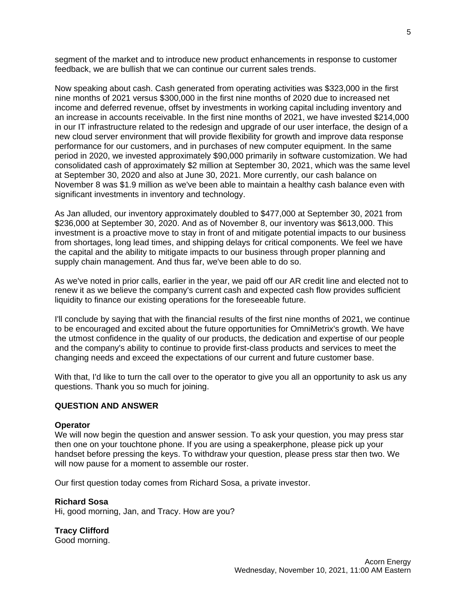segment of the market and to introduce new product enhancements in response to customer feedback, we are bullish that we can continue our current sales trends.

Now speaking about cash. Cash generated from operating activities was \$323,000 in the first nine months of 2021 versus \$300,000 in the first nine months of 2020 due to increased net income and deferred revenue, offset by investments in working capital including inventory and an increase in accounts receivable. In the first nine months of 2021, we have invested \$214,000 in our IT infrastructure related to the redesign and upgrade of our user interface, the design of a new cloud server environment that will provide flexibility for growth and improve data response performance for our customers, and in purchases of new computer equipment. In the same period in 2020, we invested approximately \$90,000 primarily in software customization. We had consolidated cash of approximately \$2 million at September 30, 2021, which was the same level at September 30, 2020 and also at June 30, 2021. More currently, our cash balance on November 8 was \$1.9 million as we've been able to maintain a healthy cash balance even with significant investments in inventory and technology.

As Jan alluded, our inventory approximately doubled to \$477,000 at September 30, 2021 from \$236,000 at September 30, 2020. And as of November 8, our inventory was \$613,000. This investment is a proactive move to stay in front of and mitigate potential impacts to our business from shortages, long lead times, and shipping delays for critical components. We feel we have the capital and the ability to mitigate impacts to our business through proper planning and supply chain management. And thus far, we've been able to do so.

As we've noted in prior calls, earlier in the year, we paid off our AR credit line and elected not to renew it as we believe the company's current cash and expected cash flow provides sufficient liquidity to finance our existing operations for the foreseeable future.

I'll conclude by saying that with the financial results of the first nine months of 2021, we continue to be encouraged and excited about the future opportunities for OmniMetrix's growth. We have the utmost confidence in the quality of our products, the dedication and expertise of our people and the company's ability to continue to provide first-class products and services to meet the changing needs and exceed the expectations of our current and future customer base.

With that, I'd like to turn the call over to the operator to give you all an opportunity to ask us any questions. Thank you so much for joining.

#### **QUESTION AND ANSWER**

#### **Operator**

We will now begin the question and answer session. To ask your question, you may press star then one on your touchtone phone. If you are using a speakerphone, please pick up your handset before pressing the keys. To withdraw your question, please press star then two. We will now pause for a moment to assemble our roster.

Our first question today comes from Richard Sosa, a private investor.

#### **Richard Sosa**

Hi, good morning, Jan, and Tracy. How are you?

**Tracy Clifford** Good morning. 5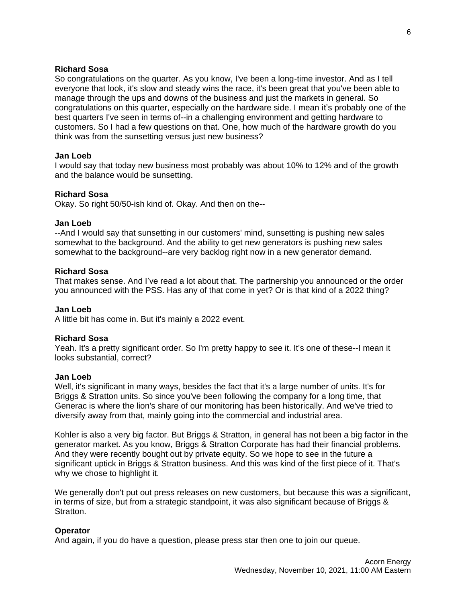### **Richard Sosa**

So congratulations on the quarter. As you know, I've been a long-time investor. And as I tell everyone that look, it's slow and steady wins the race, it's been great that you've been able to manage through the ups and downs of the business and just the markets in general. So congratulations on this quarter, especially on the hardware side. I mean it's probably one of the best quarters I've seen in terms of--in a challenging environment and getting hardware to customers. So I had a few questions on that. One, how much of the hardware growth do you think was from the sunsetting versus just new business?

#### **Jan Loeb**

I would say that today new business most probably was about 10% to 12% and of the growth and the balance would be sunsetting.

#### **Richard Sosa**

Okay. So right 50/50-ish kind of. Okay. And then on the--

#### **Jan Loeb**

--And I would say that sunsetting in our customers' mind, sunsetting is pushing new sales somewhat to the background. And the ability to get new generators is pushing new sales somewhat to the background--are very backlog right now in a new generator demand.

#### **Richard Sosa**

That makes sense. And I've read a lot about that. The partnership you announced or the order you announced with the PSS. Has any of that come in yet? Or is that kind of a 2022 thing?

#### **Jan Loeb**

A little bit has come in. But it's mainly a 2022 event.

#### **Richard Sosa**

Yeah. It's a pretty significant order. So I'm pretty happy to see it. It's one of these--I mean it looks substantial, correct?

#### **Jan Loeb**

Well, it's significant in many ways, besides the fact that it's a large number of units. It's for Briggs & Stratton units. So since you've been following the company for a long time, that Generac is where the lion's share of our monitoring has been historically. And we've tried to diversify away from that, mainly going into the commercial and industrial area.

Kohler is also a very big factor. But Briggs & Stratton, in general has not been a big factor in the generator market. As you know, Briggs & Stratton Corporate has had their financial problems. And they were recently bought out by private equity. So we hope to see in the future a significant uptick in Briggs & Stratton business. And this was kind of the first piece of it. That's why we chose to highlight it.

We generally don't put out press releases on new customers, but because this was a significant, in terms of size, but from a strategic standpoint, it was also significant because of Briggs & Stratton.

#### **Operator**

And again, if you do have a question, please press star then one to join our queue.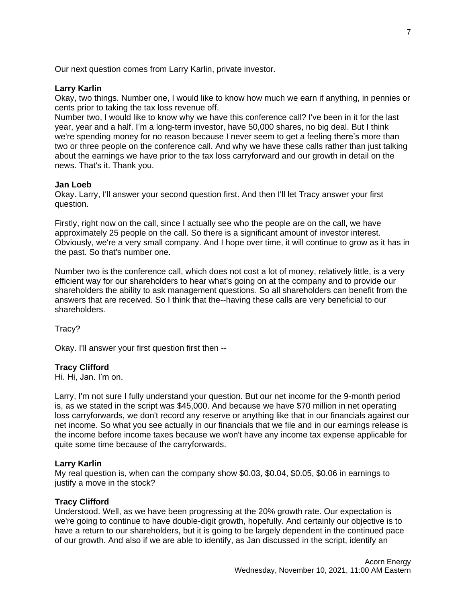Our next question comes from Larry Karlin, private investor.

#### **Larry Karlin**

Okay, two things. Number one, I would like to know how much we earn if anything, in pennies or cents prior to taking the tax loss revenue off.

Number two, I would like to know why we have this conference call? I've been in it for the last year, year and a half. I'm a long-term investor, have 50,000 shares, no big deal. But I think we're spending money for no reason because I never seem to get a feeling there's more than two or three people on the conference call. And why we have these calls rather than just talking about the earnings we have prior to the tax loss carryforward and our growth in detail on the news. That's it. Thank you.

### **Jan Loeb**

Okay. Larry, I'll answer your second question first. And then I'll let Tracy answer your first question.

Firstly, right now on the call, since I actually see who the people are on the call, we have approximately 25 people on the call. So there is a significant amount of investor interest. Obviously, we're a very small company. And I hope over time, it will continue to grow as it has in the past. So that's number one.

Number two is the conference call, which does not cost a lot of money, relatively little, is a very efficient way for our shareholders to hear what's going on at the company and to provide our shareholders the ability to ask management questions. So all shareholders can benefit from the answers that are received. So I think that the--having these calls are very beneficial to our shareholders.

Tracy?

Okay. I'll answer your first question first then --

#### **Tracy Clifford**

Hi. Hi, Jan. I'm on.

Larry, I'm not sure I fully understand your question. But our net income for the 9-month period is, as we stated in the script was \$45,000. And because we have \$70 million in net operating loss carryforwards, we don't record any reserve or anything like that in our financials against our net income. So what you see actually in our financials that we file and in our earnings release is the income before income taxes because we won't have any income tax expense applicable for quite some time because of the carryforwards.

### **Larry Karlin**

My real question is, when can the company show \$0.03, \$0.04, \$0.05, \$0.06 in earnings to justify a move in the stock?

#### **Tracy Clifford**

Understood. Well, as we have been progressing at the 20% growth rate. Our expectation is we're going to continue to have double-digit growth, hopefully. And certainly our objective is to have a return to our shareholders, but it is going to be largely dependent in the continued pace of our growth. And also if we are able to identify, as Jan discussed in the script, identify an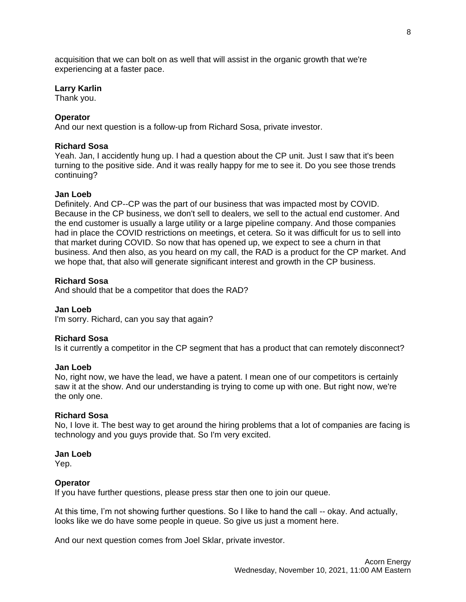acquisition that we can bolt on as well that will assist in the organic growth that we're experiencing at a faster pace.

### **Larry Karlin**

Thank you.

# **Operator**

And our next question is a follow-up from Richard Sosa, private investor.

# **Richard Sosa**

Yeah. Jan, I accidently hung up. I had a question about the CP unit. Just I saw that it's been turning to the positive side. And it was really happy for me to see it. Do you see those trends continuing?

### **Jan Loeb**

Definitely. And CP--CP was the part of our business that was impacted most by COVID. Because in the CP business, we don't sell to dealers, we sell to the actual end customer. And the end customer is usually a large utility or a large pipeline company. And those companies had in place the COVID restrictions on meetings, et cetera. So it was difficult for us to sell into that market during COVID. So now that has opened up, we expect to see a churn in that business. And then also, as you heard on my call, the RAD is a product for the CP market. And we hope that, that also will generate significant interest and growth in the CP business.

### **Richard Sosa**

And should that be a competitor that does the RAD?

### **Jan Loeb**

I'm sorry. Richard, can you say that again?

### **Richard Sosa**

Is it currently a competitor in the CP segment that has a product that can remotely disconnect?

#### **Jan Loeb**

No, right now, we have the lead, we have a patent. I mean one of our competitors is certainly saw it at the show. And our understanding is trying to come up with one. But right now, we're the only one.

### **Richard Sosa**

No, I love it. The best way to get around the hiring problems that a lot of companies are facing is technology and you guys provide that. So I'm very excited.

#### **Jan Loeb**

Yep.

### **Operator**

If you have further questions, please press star then one to join our queue.

At this time, I'm not showing further questions. So I like to hand the call -- okay. And actually, looks like we do have some people in queue. So give us just a moment here.

And our next question comes from Joel Sklar, private investor.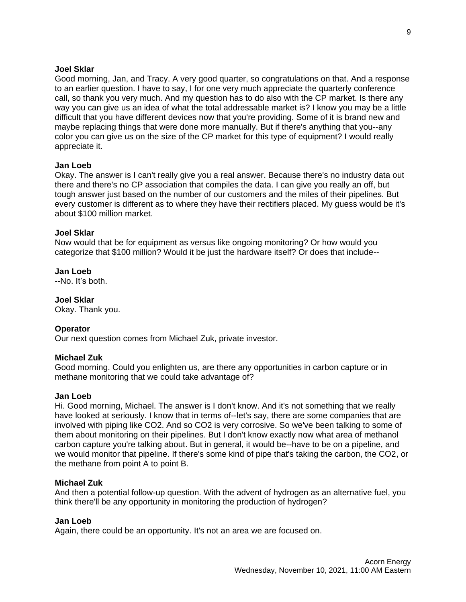### **Joel Sklar**

Good morning, Jan, and Tracy. A very good quarter, so congratulations on that. And a response to an earlier question. I have to say, I for one very much appreciate the quarterly conference call, so thank you very much. And my question has to do also with the CP market. Is there any way you can give us an idea of what the total addressable market is? I know you may be a little difficult that you have different devices now that you're providing. Some of it is brand new and maybe replacing things that were done more manually. But if there's anything that you--any color you can give us on the size of the CP market for this type of equipment? I would really appreciate it.

#### **Jan Loeb**

Okay. The answer is I can't really give you a real answer. Because there's no industry data out there and there's no CP association that compiles the data. I can give you really an off, but tough answer just based on the number of our customers and the miles of their pipelines. But every customer is different as to where they have their rectifiers placed. My guess would be it's about \$100 million market.

# **Joel Sklar**

Now would that be for equipment as versus like ongoing monitoring? Or how would you categorize that \$100 million? Would it be just the hardware itself? Or does that include--

**Jan Loeb** --No. It's both.

**Joel Sklar**

Okay. Thank you.

### **Operator**

Our next question comes from Michael Zuk, private investor.

### **Michael Zuk**

Good morning. Could you enlighten us, are there any opportunities in carbon capture or in methane monitoring that we could take advantage of?

#### **Jan Loeb**

Hi. Good morning, Michael. The answer is I don't know. And it's not something that we really have looked at seriously. I know that in terms of--let's say, there are some companies that are involved with piping like CO2. And so CO2 is very corrosive. So we've been talking to some of them about monitoring on their pipelines. But I don't know exactly now what area of methanol carbon capture you're talking about. But in general, it would be--have to be on a pipeline, and we would monitor that pipeline. If there's some kind of pipe that's taking the carbon, the CO2, or the methane from point A to point B.

#### **Michael Zuk**

And then a potential follow-up question. With the advent of hydrogen as an alternative fuel, you think there'll be any opportunity in monitoring the production of hydrogen?

#### **Jan Loeb**

Again, there could be an opportunity. It's not an area we are focused on.